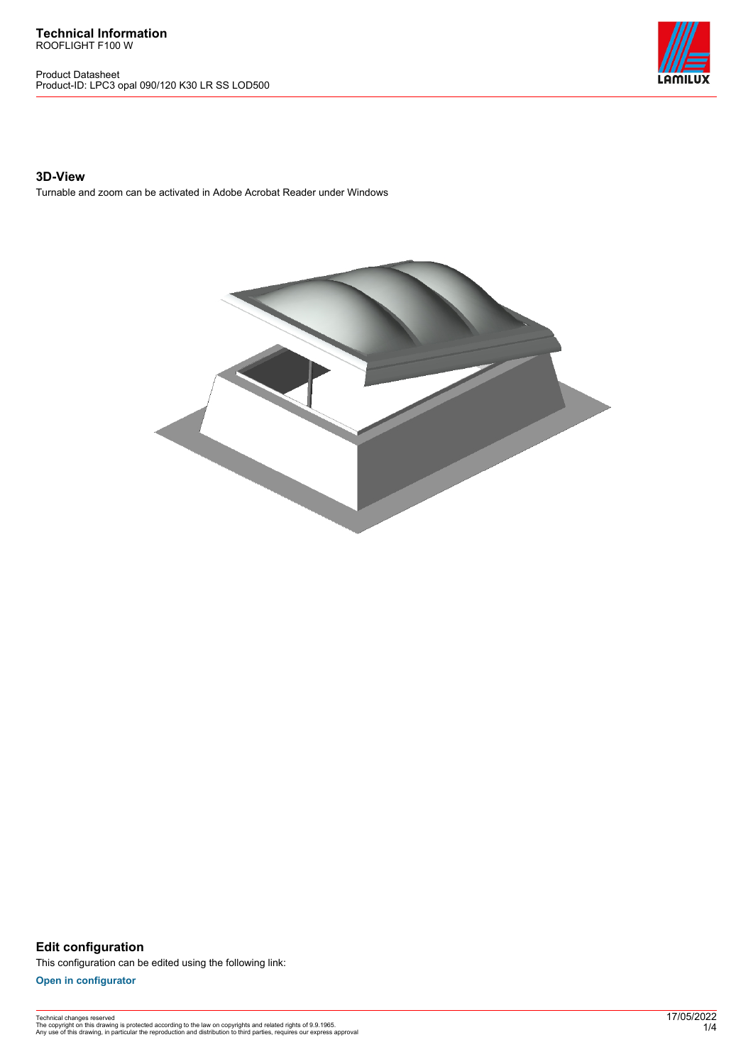**Technical Information** ROOFLIGHT F100 W

Product Datasheet Product-ID: LPC3 opal 090/120 K30 LR SS LOD500



## **3D-View**

Turnable and zoom can be activated in Adobe Acrobat Reader under Windows



**Edit configuration** This configuration can be edited using the following link:

**[Open in configurator](https://bimconfig.lamilux.com//?quickcode=UIKUHF)**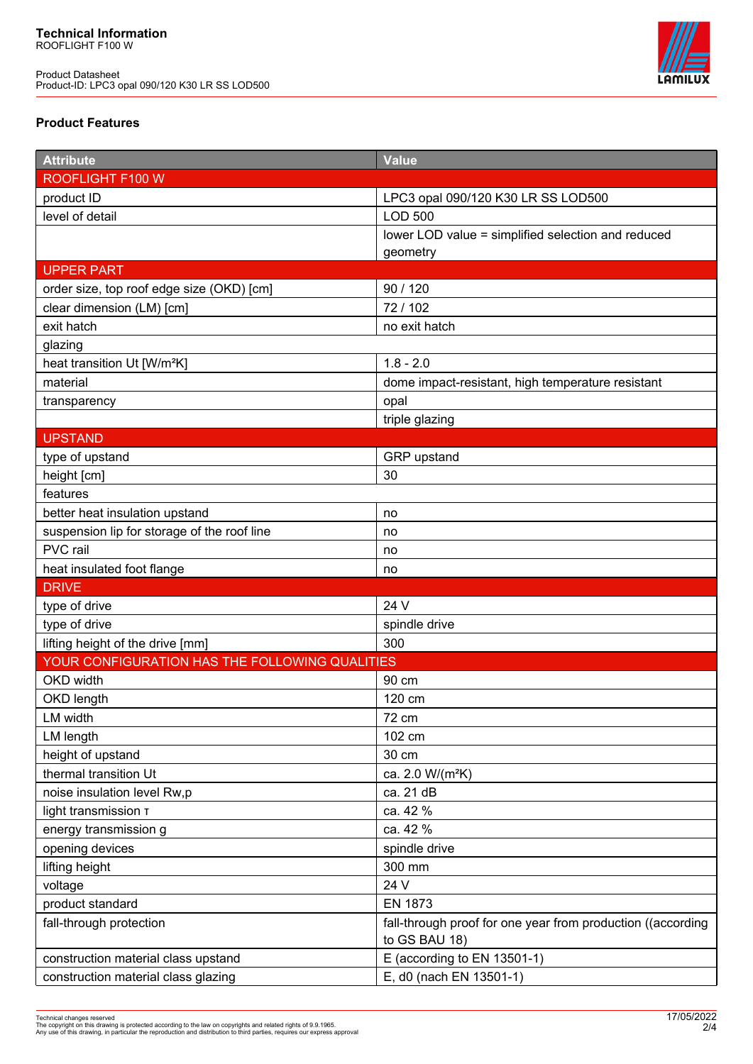Product Datasheet Product-ID: LPC3 opal 090/120 K30 LR SS LOD500



# **Product Features**

| <b>Attribute</b>                               | <b>Value</b>                                                                 |
|------------------------------------------------|------------------------------------------------------------------------------|
| ROOFLIGHT F100 W                               |                                                                              |
| product ID                                     | LPC3 opal 090/120 K30 LR SS LOD500                                           |
| level of detail                                | <b>LOD 500</b>                                                               |
|                                                | lower LOD value = simplified selection and reduced                           |
|                                                | geometry                                                                     |
| <b>UPPER PART</b>                              |                                                                              |
| order size, top roof edge size (OKD) [cm]      | 90 / 120                                                                     |
| clear dimension (LM) [cm]                      | 72 / 102                                                                     |
| exit hatch                                     | no exit hatch                                                                |
| glazing                                        |                                                                              |
| heat transition Ut [W/m <sup>2</sup> K]        | $1.8 - 2.0$                                                                  |
| material                                       | dome impact-resistant, high temperature resistant                            |
| transparency                                   | opal                                                                         |
|                                                | triple glazing                                                               |
| <b>UPSTAND</b>                                 |                                                                              |
| type of upstand                                | GRP upstand                                                                  |
| height [cm]                                    | 30                                                                           |
| features                                       |                                                                              |
| better heat insulation upstand                 | no                                                                           |
| suspension lip for storage of the roof line    | no                                                                           |
| PVC rail                                       | no                                                                           |
| heat insulated foot flange                     | no                                                                           |
| <b>DRIVE</b>                                   |                                                                              |
| type of drive                                  | 24 V                                                                         |
| type of drive                                  | spindle drive                                                                |
| lifting height of the drive [mm]               | 300                                                                          |
| YOUR CONFIGURATION HAS THE FOLLOWING QUALITIES |                                                                              |
| OKD width                                      | 90 cm                                                                        |
| OKD length                                     | 120 cm                                                                       |
| LM width                                       | 72 cm                                                                        |
| LM length                                      | 102 cm                                                                       |
| height of upstand                              | 30 cm                                                                        |
| thermal transition Ut                          | ca. 2.0 W/(m <sup>2</sup> K)                                                 |
| noise insulation level Rw,p                    | ca. 21 dB                                                                    |
| light transmission T                           | ca. 42 %                                                                     |
| energy transmission g                          | ca. 42 %                                                                     |
| opening devices                                | spindle drive                                                                |
| lifting height                                 | 300 mm                                                                       |
| voltage                                        | 24 V                                                                         |
| product standard                               | <b>EN 1873</b>                                                               |
| fall-through protection                        | fall-through proof for one year from production ((according<br>to GS BAU 18) |
| construction material class upstand            | E (according to EN 13501-1)                                                  |
| construction material class glazing            | E, d0 (nach EN 13501-1)                                                      |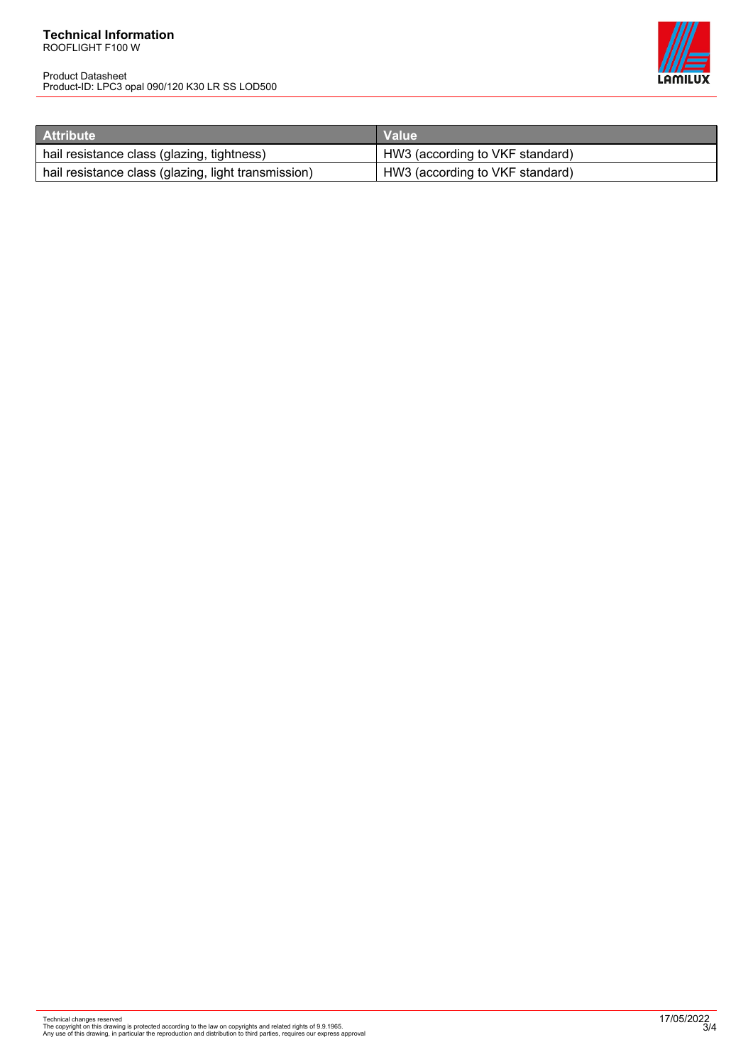#### **Technical Information** ROOFLIGHT F100 W

Product Datasheet Product-ID: LPC3 opal 090/120 K30 LR SS LOD500



| <b>Attribute</b>                                    | <b>Value</b>                    |
|-----------------------------------------------------|---------------------------------|
| hail resistance class (glazing, tightness)          | HW3 (according to VKF standard) |
| hail resistance class (glazing, light transmission) | HW3 (according to VKF standard) |